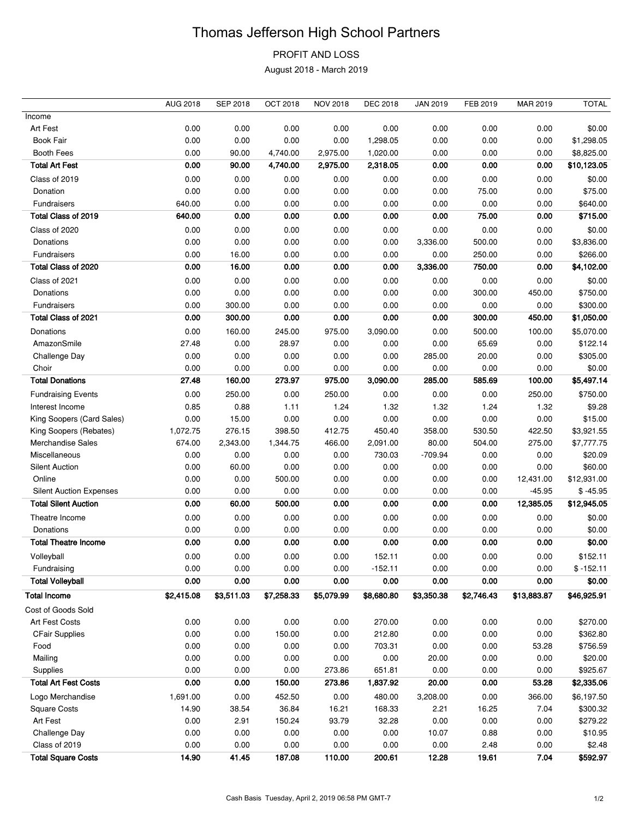## Thomas Jefferson High School Partners

PROFIT AND LOSS

August 2018 - March 2019

|                                | AUG 2018   | <b>SEP 2018</b> | <b>OCT 2018</b> | <b>NOV 2018</b> | <b>DEC 2018</b> | <b>JAN 2019</b> | FEB 2019   | MAR 2019    | <b>TOTAL</b> |
|--------------------------------|------------|-----------------|-----------------|-----------------|-----------------|-----------------|------------|-------------|--------------|
| Income                         |            |                 |                 |                 |                 |                 |            |             |              |
| Art Fest                       | 0.00       | 0.00            | 0.00            | 0.00            | 0.00            | 0.00            | 0.00       | 0.00        | \$0.00       |
| <b>Book Fair</b>               | 0.00       | 0.00            | 0.00            | 0.00            | 1,298.05        | 0.00            | 0.00       | 0.00        | \$1,298.05   |
| <b>Booth Fees</b>              | 0.00       | 90.00           | 4,740.00        | 2,975.00        | 1,020.00        | 0.00            | 0.00       | 0.00        | \$8,825.00   |
| <b>Total Art Fest</b>          | 0.00       | 90.00           | 4,740.00        | 2,975.00        | 2,318.05        | 0.00            | 0.00       | 0.00        | \$10,123.05  |
| Class of 2019                  | 0.00       | 0.00            | 0.00            | 0.00            | 0.00            | 0.00            | 0.00       | 0.00        | \$0.00       |
| Donation                       | 0.00       | 0.00            | 0.00            | 0.00            | 0.00            | 0.00            | 75.00      | 0.00        | \$75.00      |
| Fundraisers                    | 640.00     | 0.00            | 0.00            | 0.00            | 0.00            | 0.00            | 0.00       | 0.00        | \$640.00     |
| Total Class of 2019            | 640.00     | 0.00            | 0.00            | 0.00            | 0.00            | 0.00            | 75.00      | 0.00        | \$715.00     |
| Class of 2020                  | 0.00       | 0.00            | 0.00            | 0.00            | 0.00            | 0.00            | 0.00       | 0.00        | \$0.00       |
| Donations                      | 0.00       | 0.00            | 0.00            | 0.00            | 0.00            | 3,336.00        | 500.00     | 0.00        | \$3,836.00   |
| Fundraisers                    | 0.00       | 16.00           | 0.00            | 0.00            | 0.00            | 0.00            | 250.00     | 0.00        | \$266.00     |
| Total Class of 2020            | 0.00       | 16.00           | 0.00            | 0.00            | 0.00            | 3,336.00        | 750.00     | 0.00        | \$4,102.00   |
| Class of 2021                  | 0.00       | 0.00            | 0.00            | 0.00            | 0.00            | 0.00            | 0.00       | 0.00        | \$0.00       |
| Donations                      | 0.00       | 0.00            | 0.00            | 0.00            | 0.00            | 0.00            | 300.00     | 450.00      | \$750.00     |
| Fundraisers                    | 0.00       | 300.00          | 0.00            | 0.00            | 0.00            | 0.00            | 0.00       | 0.00        | \$300.00     |
| Total Class of 2021            | 0.00       | 300.00          | 0.00            | 0.00            | 0.00            | 0.00            | 300.00     | 450.00      | \$1,050.00   |
| Donations                      | 0.00       | 160.00          | 245.00          | 975.00          | 3,090.00        | 0.00            | 500.00     | 100.00      | \$5,070.00   |
| AmazonSmile                    | 27.48      | 0.00            | 28.97           | 0.00            | 0.00            | 0.00            | 65.69      | 0.00        | \$122.14     |
| Challenge Day                  | 0.00       | 0.00            | 0.00            | 0.00            | 0.00            | 285.00          | 20.00      | 0.00        | \$305.00     |
| Choir                          | 0.00       | 0.00            | 0.00            | 0.00            | 0.00            | 0.00            | 0.00       | 0.00        | \$0.00       |
| <b>Total Donations</b>         | 27.48      | 160.00          | 273.97          | 975.00          | 3,090.00        | 285.00          | 585.69     | 100.00      | \$5,497.14   |
| <b>Fundraising Events</b>      | 0.00       | 250.00          | 0.00            | 250.00          | 0.00            | 0.00            | 0.00       | 250.00      | \$750.00     |
| Interest Income                | 0.85       | 0.88            | 1.11            | 1.24            | 1.32            | 1.32            | 1.24       | 1.32        | \$9.28       |
| King Soopers (Card Sales)      | 0.00       | 15.00           | 0.00            | 0.00            | 0.00            | 0.00            | 0.00       | 0.00        | \$15.00      |
| King Soopers (Rebates)         | 1,072.75   | 276.15          | 398.50          | 412.75          | 450.40          | 358.00          | 530.50     | 422.50      | \$3,921.55   |
| Merchandise Sales              | 674.00     | 2,343.00        | 1,344.75        | 466.00          | 2,091.00        | 80.00           | 504.00     | 275.00      | \$7,777.75   |
| Miscellaneous                  | 0.00       | 0.00            | 0.00            | 0.00            | 730.03          | $-709.94$       | 0.00       | 0.00        | \$20.09      |
| <b>Silent Auction</b>          | 0.00       | 60.00           | 0.00            | 0.00            | 0.00            | 0.00            | 0.00       | 0.00        | \$60.00      |
| Online                         | 0.00       | 0.00            | 500.00          | 0.00            | 0.00            | 0.00            | 0.00       | 12,431.00   | \$12,931.00  |
| <b>Silent Auction Expenses</b> | 0.00       | 0.00            | 0.00            | 0.00            | 0.00            | 0.00            | 0.00       | $-45.95$    | $$ -45.95$   |
| <b>Total Silent Auction</b>    | 0.00       | 60.00           | 500.00          | 0.00            | 0.00            | 0.00            | 0.00       | 12,385.05   | \$12,945.05  |
| Theatre Income                 | 0.00       | 0.00            | 0.00            | 0.00            | 0.00            | 0.00            | 0.00       | 0.00        | \$0.00       |
| Donations                      | 0.00       | 0.00            | 0.00            | 0.00            | 0.00            | 0.00            | 0.00       | 0.00        | \$0.00       |
| <b>Total Theatre Income</b>    | 0.00       | 0.00            | 0.00            | 0.00            | 0.00            | 0.00            | 0.00       | 0.00        | \$0.00       |
| Volleyball                     | 0.00       | 0.00            | 0.00            | 0.00            | 152.11          | 0.00            | 0.00       | 0.00        | \$152.11     |
| Fundraising                    | 0.00       | 0.00            | 0.00            | 0.00            | $-152.11$       | 0.00            | 0.00       | 0.00        | $$ -152.11$  |
| <b>Total Volleyball</b>        | 0.00       | 0.00            | 0.00            | 0.00            | 0.00            | 0.00            | 0.00       | 0.00        | \$0.00       |
| <b>Total Income</b>            | \$2,415.08 | \$3,511.03      | \$7,258.33      | \$5,079.99      | \$8,680.80      | \$3,350.38      | \$2,746.43 | \$13,883.87 | \$46,925.91  |
| Cost of Goods Sold             |            |                 |                 |                 |                 |                 |            |             |              |
| Art Fest Costs                 | 0.00       | 0.00            | 0.00            | 0.00            | 270.00          | 0.00            | 0.00       | 0.00        | \$270.00     |
| <b>CFair Supplies</b>          | 0.00       | 0.00            | 150.00          | 0.00            | 212.80          | 0.00            | 0.00       | 0.00        | \$362.80     |
| Food                           | 0.00       | 0.00            | 0.00            | 0.00            | 703.31          | 0.00            | 0.00       | 53.28       | \$756.59     |
| Mailing                        | 0.00       | 0.00            | 0.00            | 0.00            | 0.00            | 20.00           | 0.00       | 0.00        | \$20.00      |
| Supplies                       | 0.00       | 0.00            | 0.00            | 273.86          | 651.81          | 0.00            | 0.00       | 0.00        | \$925.67     |
| <b>Total Art Fest Costs</b>    | 0.00       | 0.00            | 150.00          | 273.86          | 1,837.92        | 20.00           | 0.00       | 53.28       | \$2,335.06   |
| Logo Merchandise               | 1,691.00   | 0.00            | 452.50          | 0.00            | 480.00          | 3,208.00        | 0.00       | 366.00      | \$6,197.50   |
| <b>Square Costs</b>            | 14.90      | 38.54           | 36.84           | 16.21           | 168.33          | 2.21            | 16.25      | 7.04        | \$300.32     |
| Art Fest                       | 0.00       | 2.91            | 150.24          | 93.79           | 32.28           | 0.00            | 0.00       | 0.00        | \$279.22     |
| Challenge Day                  | 0.00       | 0.00            | 0.00            | 0.00            | 0.00            | 10.07           | 0.88       | 0.00        | \$10.95      |
| Class of 2019                  | 0.00       | 0.00            | 0.00            | 0.00            | 0.00            | 0.00            | 2.48       | 0.00        | \$2.48       |
| <b>Total Square Costs</b>      | 14.90      | 41.45           | 187.08          | 110.00          | 200.61          | 12.28           | 19.61      | 7.04        | \$592.97     |